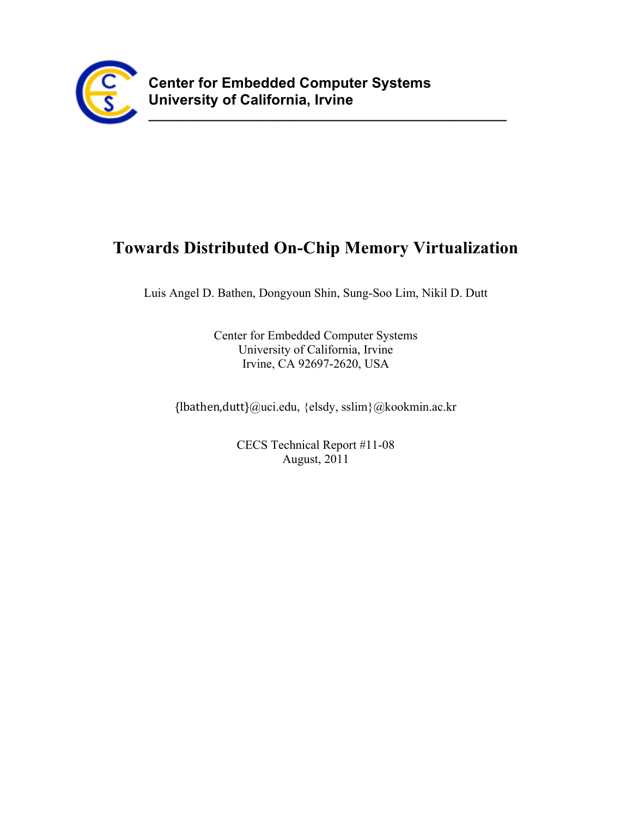

# **Towards Distributed On-Chip Memory Virtualization**

**\_\_\_\_\_\_\_\_\_\_\_\_\_\_\_\_\_\_\_\_\_\_\_\_\_\_\_\_\_\_\_\_\_\_\_\_\_\_\_\_\_\_\_\_\_\_\_\_\_\_\_\_**

Luis Angel D. Bathen, Dongyoun Shin, Sung-Soo Lim, Nikil D. Dutt

Center for Embedded Computer Systems University of California, Irvine Irvine, CA 92697-2620, USA

{lbathen,dutt}@uci.edu, {elsdy, sslim}@kookmin.ac.kr

CECS Technical Report #11-08 August, 2011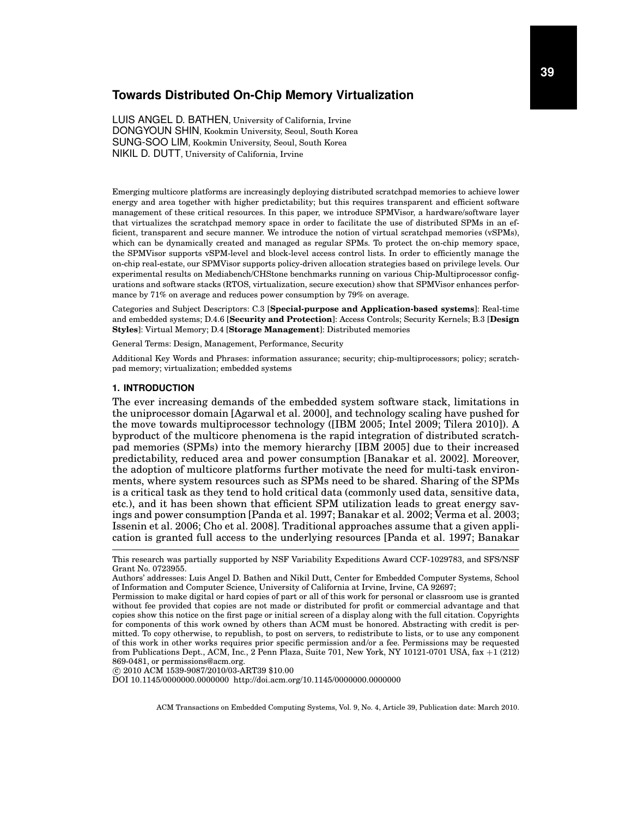# **Towards Distributed On-Chip Memory Virtualization**

LUIS ANGEL D. BATHEN, University of California, Irvine DONGYOUN SHIN, Kookmin University, Seoul, South Korea SUNG-SOO LIM, Kookmin University, Seoul, South Korea NIKIL D. DUTT, University of California, Irvine

Emerging multicore platforms are increasingly deploying distributed scratchpad memories to achieve lower energy and area together with higher predictability; but this requires transparent and efficient software management of these critical resources. In this paper, we introduce SPMVisor, a hardware/software layer that virtualizes the scratchpad memory space in order to facilitate the use of distributed SPMs in an efficient, transparent and secure manner. We introduce the notion of virtual scratchpad memories (vSPMs), which can be dynamically created and managed as regular SPMs. To protect the on-chip memory space, the SPMVisor supports vSPM-level and block-level access control lists. In order to efficiently manage the on-chip real-estate, our SPMVisor supports policy-driven allocation strategies based on privilege levels. Our experimental results on Mediabench/CHStone benchmarks running on various Chip-Multiprocessor configurations and software stacks (RTOS, virtualization, secure execution) show that SPMVisor enhances performance by 71% on average and reduces power consumption by 79% on average.

Categories and Subject Descriptors: C.3 [**Special-purpose and Application-based systems**]: Real-time and embedded systems; D.4.6 [**Security and Protection**]: Access Controls; Security Kernels; B.3 [**Design Styles**]: Virtual Memory; D.4 [**Storage Management**]: Distributed memories

General Terms: Design, Management, Performance, Security

Additional Key Words and Phrases: information assurance; security; chip-multiprocessors; policy; scratchpad memory; virtualization; embedded systems

## **1. INTRODUCTION**

The ever increasing demands of the embedded system software stack, limitations in the uniprocessor domain [Agarwal et al. 2000], and technology scaling have pushed for the move towards multiprocessor technology ([IBM 2005; Intel 2009; Tilera 2010]). A byproduct of the multicore phenomena is the rapid integration of distributed scratchpad memories (SPMs) into the memory hierarchy [IBM 2005] due to their increased predictability, reduced area and power consumption [Banakar et al. 2002]. Moreover, the adoption of multicore platforms further motivate the need for multi-task environments, where system resources such as SPMs need to be shared. Sharing of the SPMs is a critical task as they tend to hold critical data (commonly used data, sensitive data, etc.), and it has been shown that efficient SPM utilization leads to great energy savings and power consumption [Panda et al. 1997; Banakar et al. 2002; Verma et al. 2003; Issenin et al. 2006; Cho et al. 2008]. Traditional approaches assume that a given application is granted full access to the underlying resources [Panda et al. 1997; Banakar

c 2010 ACM 1539-9087/2010/03-ART39 \$10.00

DOI 10.1145/0000000.0000000 http://doi.acm.org/10.1145/0000000.0000000

This research was partially supported by NSF Variability Expeditions Award CCF-1029783, and SFS/NSF Grant No. 0723955.

Authors' addresses: Luis Angel D. Bathen and Nikil Dutt, Center for Embedded Computer Systems, School of Information and Computer Science, University of California at Irvine, Irvine, CA 92697;

Permission to make digital or hard copies of part or all of this work for personal or classroom use is granted without fee provided that copies are not made or distributed for profit or commercial advantage and that copies show this notice on the first page or initial screen of a display along with the full citation. Copyrights for components of this work owned by others than ACM must be honored. Abstracting with credit is permitted. To copy otherwise, to republish, to post on servers, to redistribute to lists, or to use any component of this work in other works requires prior specific permission and/or a fee. Permissions may be requested from Publications Dept., ACM, Inc., 2 Penn Plaza, Suite 701, New York, NY 10121-0701 USA, fax +1 (212) 869-0481, or permissions@acm.org.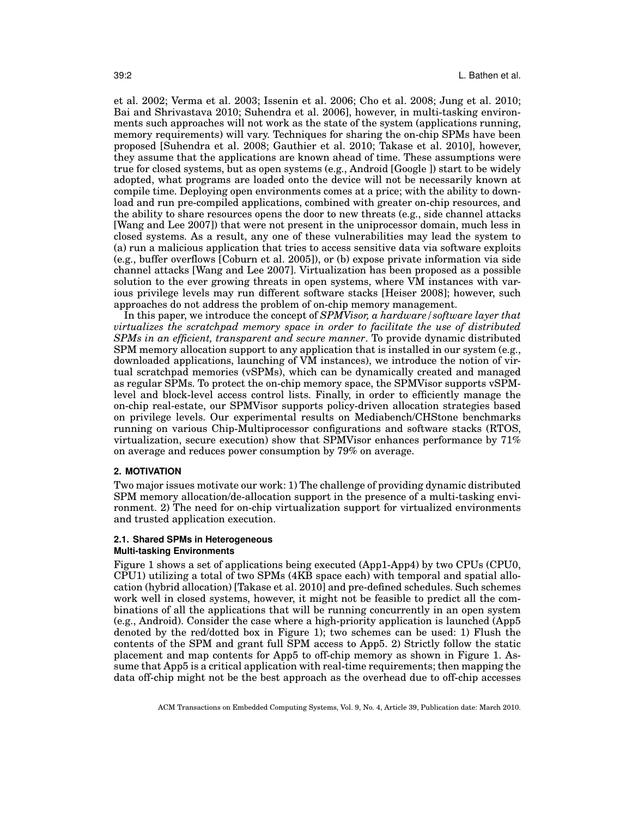et al. 2002; Verma et al. 2003; Issenin et al. 2006; Cho et al. 2008; Jung et al. 2010; Bai and Shrivastava 2010; Suhendra et al. 2006], however, in multi-tasking environments such approaches will not work as the state of the system (applications running, memory requirements) will vary. Techniques for sharing the on-chip SPMs have been proposed [Suhendra et al. 2008; Gauthier et al. 2010; Takase et al. 2010], however, they assume that the applications are known ahead of time. These assumptions were true for closed systems, but as open systems (e.g., Android [Google ]) start to be widely adopted, what programs are loaded onto the device will not be necessarily known at compile time. Deploying open environments comes at a price; with the ability to download and run pre-compiled applications, combined with greater on-chip resources, and the ability to share resources opens the door to new threats (e.g., side channel attacks [Wang and Lee 2007]) that were not present in the uniprocessor domain, much less in closed systems. As a result, any one of these vulnerabilities may lead the system to (a) run a malicious application that tries to access sensitive data via software exploits (e.g., buffer overflows [Coburn et al. 2005]), or (b) expose private information via side channel attacks [Wang and Lee 2007]. Virtualization has been proposed as a possible solution to the ever growing threats in open systems, where VM instances with various privilege levels may run different software stacks [Heiser 2008]; however, such approaches do not address the problem of on-chip memory management.

In this paper, we introduce the concept of *SPMVisor, a hardware/software layer that virtualizes the scratchpad memory space in order to facilitate the use of distributed SPMs in an efficient, transparent and secure manner*. To provide dynamic distributed SPM memory allocation support to any application that is installed in our system (e.g., downloaded applications, launching of VM instances), we introduce the notion of virtual scratchpad memories (vSPMs), which can be dynamically created and managed as regular SPMs. To protect the on-chip memory space, the SPMVisor supports vSPMlevel and block-level access control lists. Finally, in order to efficiently manage the on-chip real-estate, our SPMVisor supports policy-driven allocation strategies based on privilege levels. Our experimental results on Mediabench/CHStone benchmarks running on various Chip-Multiprocessor configurations and software stacks (RTOS, virtualization, secure execution) show that SPMVisor enhances performance by 71% on average and reduces power consumption by 79% on average.

## **2. MOTIVATION**

Two major issues motivate our work: 1) The challenge of providing dynamic distributed SPM memory allocation/de-allocation support in the presence of a multi-tasking environment. 2) The need for on-chip virtualization support for virtualized environments and trusted application execution.

# **2.1. Shared SPMs in Heterogeneous Multi-tasking Environments**

Figure 1 shows a set of applications being executed (App1-App4) by two CPUs (CPU0, CPU1) utilizing a total of two SPMs (4KB space each) with temporal and spatial allocation (hybrid allocation) [Takase et al. 2010] and pre-defined schedules. Such schemes work well in closed systems, however, it might not be feasible to predict all the combinations of all the applications that will be running concurrently in an open system (e.g., Android). Consider the case where a high-priority application is launched (App5 denoted by the red/dotted box in Figure 1); two schemes can be used: 1) Flush the contents of the SPM and grant full SPM access to App5. 2) Strictly follow the static placement and map contents for App5 to off-chip memory as shown in Figure 1. Assume that App5 is a critical application with real-time requirements; then mapping the data off-chip might not be the best approach as the overhead due to off-chip accesses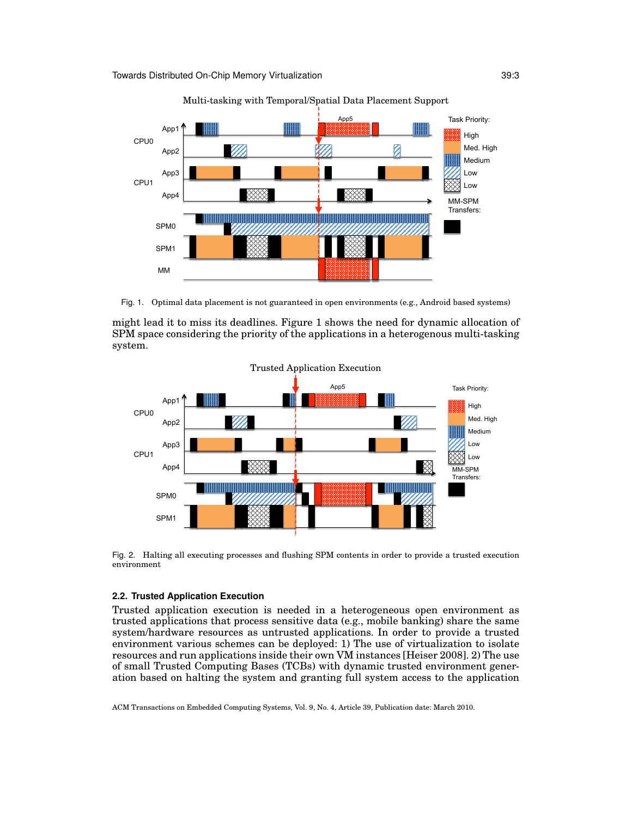

Multi-tasking with Temporal/Spatial Data Placement Support

Fig. 1. Optimal data placement is not guaranteed in open environments (e.g., Android based systems)

might lead it to miss its deadlines. Figure 1 shows the need for dynamic allocation of SPM space considering the priority of the applications in a heterogenous multi-tasking system.



Fig. 2. Halting all executing processes and flushing SPM contents in order to provide a trusted execution environment

# **2.2. Trusted Application Execution**

Trusted application execution is needed in a heterogeneous open environment as trusted applications that process sensitive data (e.g., mobile banking) share the same system/hardware resources as untrusted applications. In order to provide a trusted environment various schemes can be deployed: 1) The use of virtualization to isolate resources and run applications inside their own VM instances [Heiser 2008]. 2) The use of small Trusted Computing Bases (TCBs) with dynamic trusted environment generation based on halting the system and granting full system access to the application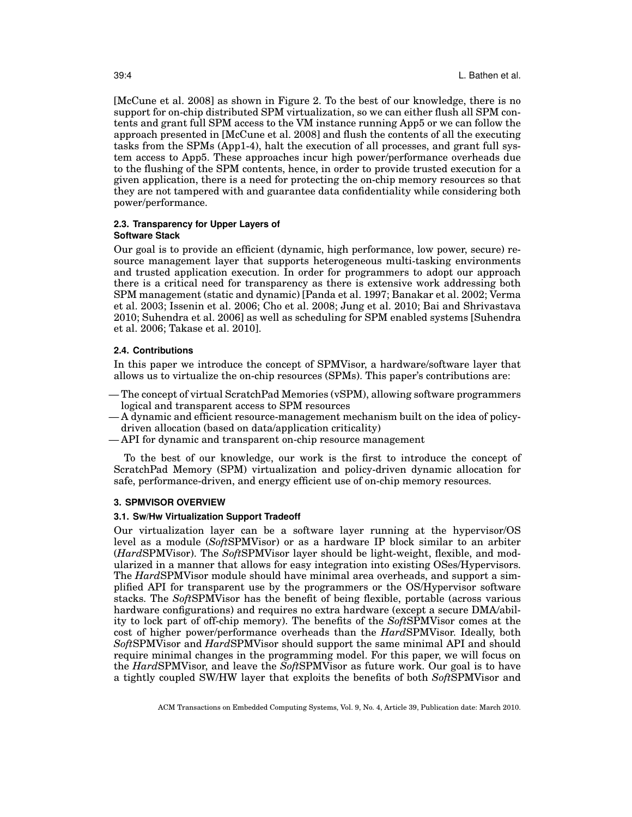[McCune et al. 2008] as shown in Figure 2. To the best of our knowledge, there is no support for on-chip distributed SPM virtualization, so we can either flush all SPM contents and grant full SPM access to the VM instance running App5 or we can follow the approach presented in [McCune et al. 2008] and flush the contents of all the executing tasks from the SPMs (App1-4), halt the execution of all processes, and grant full system access to App5. These approaches incur high power/performance overheads due to the flushing of the SPM contents, hence, in order to provide trusted execution for a given application, there is a need for protecting the on-chip memory resources so that they are not tampered with and guarantee data confidentiality while considering both power/performance.

## **2.3. Transparency for Upper Layers of Software Stack**

Our goal is to provide an efficient (dynamic, high performance, low power, secure) resource management layer that supports heterogeneous multi-tasking environments and trusted application execution. In order for programmers to adopt our approach there is a critical need for transparency as there is extensive work addressing both SPM management (static and dynamic) [Panda et al. 1997; Banakar et al. 2002; Verma et al. 2003; Issenin et al. 2006; Cho et al. 2008; Jung et al. 2010; Bai and Shrivastava 2010; Suhendra et al. 2006] as well as scheduling for SPM enabled systems [Suhendra et al. 2006; Takase et al. 2010].

# **2.4. Contributions**

In this paper we introduce the concept of SPMVisor, a hardware/software layer that allows us to virtualize the on-chip resources (SPMs). This paper's contributions are:

- The concept of virtual ScratchPad Memories (vSPM), allowing software programmers logical and transparent access to SPM resources
- A dynamic and efficient resource-management mechanism built on the idea of policydriven allocation (based on data/application criticality)
- API for dynamic and transparent on-chip resource management

To the best of our knowledge, our work is the first to introduce the concept of ScratchPad Memory (SPM) virtualization and policy-driven dynamic allocation for safe, performance-driven, and energy efficient use of on-chip memory resources.

# **3. SPMVISOR OVERVIEW**

# **3.1. Sw/Hw Virtualization Support Tradeoff**

Our virtualization layer can be a software layer running at the hypervisor/OS level as a module (*Soft*SPMVisor) or as a hardware IP block similar to an arbiter (*Hard*SPMVisor). The *Soft*SPMVisor layer should be light-weight, flexible, and modularized in a manner that allows for easy integration into existing OSes/Hypervisors. The *Hard*SPMVisor module should have minimal area overheads, and support a simplified API for transparent use by the programmers or the OS/Hypervisor software stacks. The *Soft*SPMVisor has the benefit of being flexible, portable (across various hardware configurations) and requires no extra hardware (except a secure DMA/ability to lock part of off-chip memory). The benefits of the *Soft*SPMVisor comes at the cost of higher power/performance overheads than the *Hard*SPMVisor. Ideally, both *Soft*SPMVisor and *Hard*SPMVisor should support the same minimal API and should require minimal changes in the programming model. For this paper, we will focus on the *Hard*SPMVisor, and leave the *Soft*SPMVisor as future work. Our goal is to have a tightly coupled SW/HW layer that exploits the benefits of both *Soft*SPMVisor and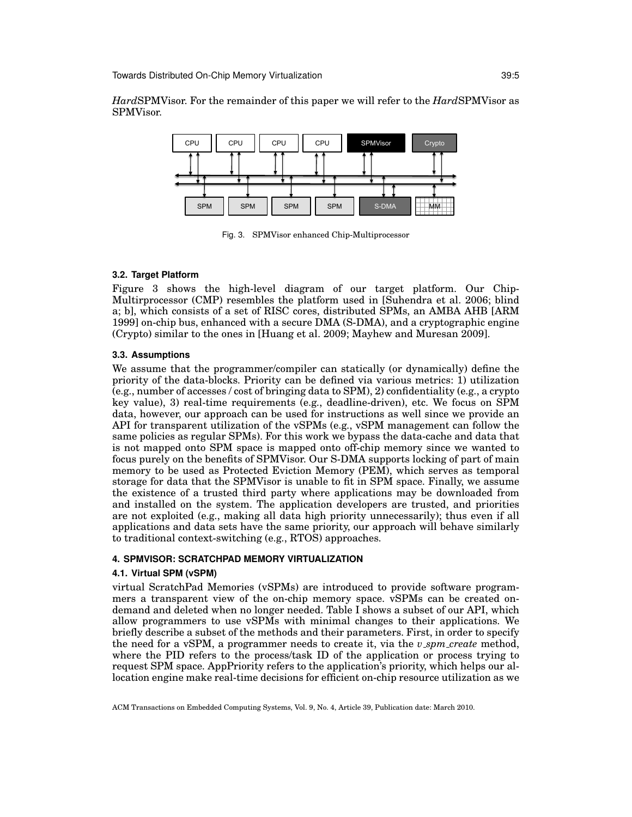*Hard*SPMVisor. For the remainder of this paper we will refer to the *Hard*SPMVisor as SPMVisor.



Fig. 3. SPMVisor enhanced Chip-Multiprocessor

## **3.2. Target Platform**

Figure 3 shows the high-level diagram of our target platform. Our Chip-Multirprocessor (CMP) resembles the platform used in [Suhendra et al. 2006; blind a; b], which consists of a set of RISC cores, distributed SPMs, an AMBA AHB [ARM 1999] on-chip bus, enhanced with a secure DMA (S-DMA), and a cryptographic engine (Crypto) similar to the ones in [Huang et al. 2009; Mayhew and Muresan 2009].

## **3.3. Assumptions**

We assume that the programmer/compiler can statically (or dynamically) define the priority of the data-blocks. Priority can be defined via various metrics: 1) utilization (e.g., number of accesses / cost of bringing data to SPM), 2) confidentiality (e.g., a crypto key value), 3) real-time requirements (e.g., deadline-driven), etc. We focus on SPM data, however, our approach can be used for instructions as well since we provide an API for transparent utilization of the vSPMs (e.g., vSPM management can follow the same policies as regular SPMs). For this work we bypass the data-cache and data that is not mapped onto SPM space is mapped onto off-chip memory since we wanted to focus purely on the benefits of SPMVisor. Our S-DMA supports locking of part of main memory to be used as Protected Eviction Memory (PEM), which serves as temporal storage for data that the SPMVisor is unable to fit in SPM space. Finally, we assume the existence of a trusted third party where applications may be downloaded from and installed on the system. The application developers are trusted, and priorities are not exploited (e.g., making all data high priority unnecessarily); thus even if all applications and data sets have the same priority, our approach will behave similarly to traditional context-switching (e.g., RTOS) approaches.

## **4. SPMVISOR: SCRATCHPAD MEMORY VIRTUALIZATION**

#### **4.1. Virtual SPM (vSPM)**

virtual ScratchPad Memories (vSPMs) are introduced to provide software programmers a transparent view of the on-chip memory space. vSPMs can be created ondemand and deleted when no longer needed. Table I shows a subset of our API, which allow programmers to use vSPMs with minimal changes to their applications. We briefly describe a subset of the methods and their parameters. First, in order to specify the need for a vSPM, a programmer needs to create it, via the *v spm create* method, where the PID refers to the process/task ID of the application or process trying to request SPM space. AppPriority refers to the application's priority, which helps our allocation engine make real-time decisions for efficient on-chip resource utilization as we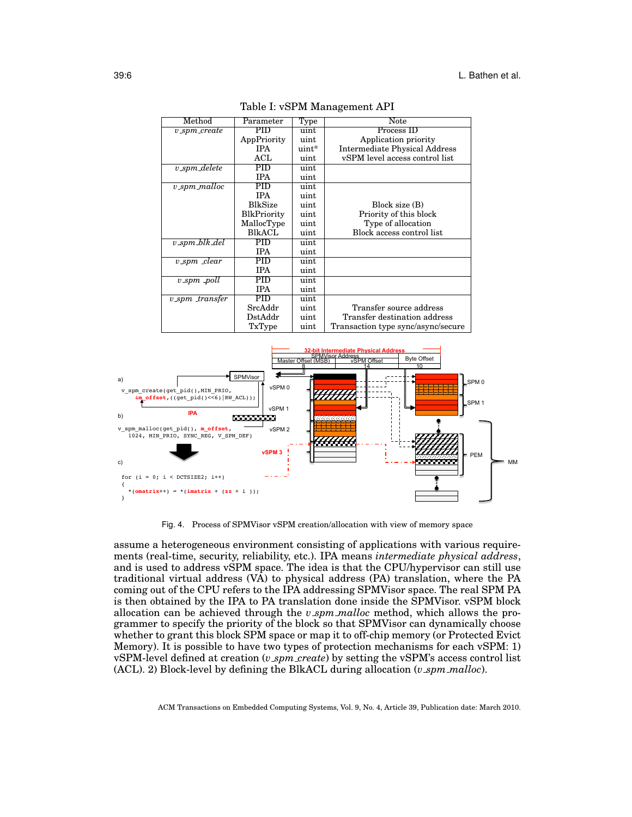| Method          | Parameter      | Type  | Note                                 |  |
|-----------------|----------------|-------|--------------------------------------|--|
| $v$ _spm_create | PID            | uint  | Process ID                           |  |
|                 | AppPriority    | uint  | Application priority                 |  |
|                 | <b>IPA</b>     | uint* | <b>Intermediate Physical Address</b> |  |
|                 | $\rm{ACL}$     | uint  | vSPM level access control list       |  |
| $v$ _spm_delete | PID            | uint  |                                      |  |
|                 | <b>TPA</b>     | uint  |                                      |  |
| v_spm_malloc    | PID            | uint  |                                      |  |
|                 | <b>TPA</b>     | uint  |                                      |  |
|                 | <b>BlkSize</b> | uint  | Block size (B)                       |  |
|                 | BlkPriority    | uint  | Priority of this block               |  |
|                 | MallocType     | uint  | Type of allocation                   |  |
|                 | BlkACL         | uint  | Block access control list            |  |
| v_spm_blk_del   | <b>PID</b>     | uint  |                                      |  |
|                 | <b>IPA</b>     | uint  |                                      |  |
| $v$ _spm_clear  | PID            | uint  |                                      |  |
|                 | <b>IPA</b>     | uint  |                                      |  |
| v_spm_poll      | PID            | uint  |                                      |  |
|                 | <b>TPA</b>     | uint  |                                      |  |
| v_spm_transfer  | PID            | uint  |                                      |  |
|                 | SrcAddr        | uint  | Transfer source address              |  |
|                 | DstAddr        | uint  | Transfer destination address         |  |
|                 | TxType         | uint  | Transaction type sync/async/secure   |  |

Table I: vSPM Management API



Fig. 4. Process of SPMVisor vSPM creation/allocation with view of memory space

assume a heterogeneous environment consisting of applications with various requirements (real-time, security, reliability, etc.). IPA means *intermediate physical address*, and is used to address vSPM space. The idea is that the CPU/hypervisor can still use traditional virtual address (VA) to physical address (PA) translation, where the PA coming out of the CPU refers to the IPA addressing SPMVisor space. The real SPM PA is then obtained by the IPA to PA translation done inside the SPMVisor. vSPM block allocation can be achieved through the *v spm malloc* method, which allows the programmer to specify the priority of the block so that SPMVisor can dynamically choose whether to grant this block SPM space or map it to off-chip memory (or Protected Evict Memory). It is possible to have two types of protection mechanisms for each vSPM: 1) vSPM-level defined at creation (*v spm create*) by setting the vSPM's access control list (ACL). 2) Block-level by defining the BlkACL during allocation (*v spm malloc*).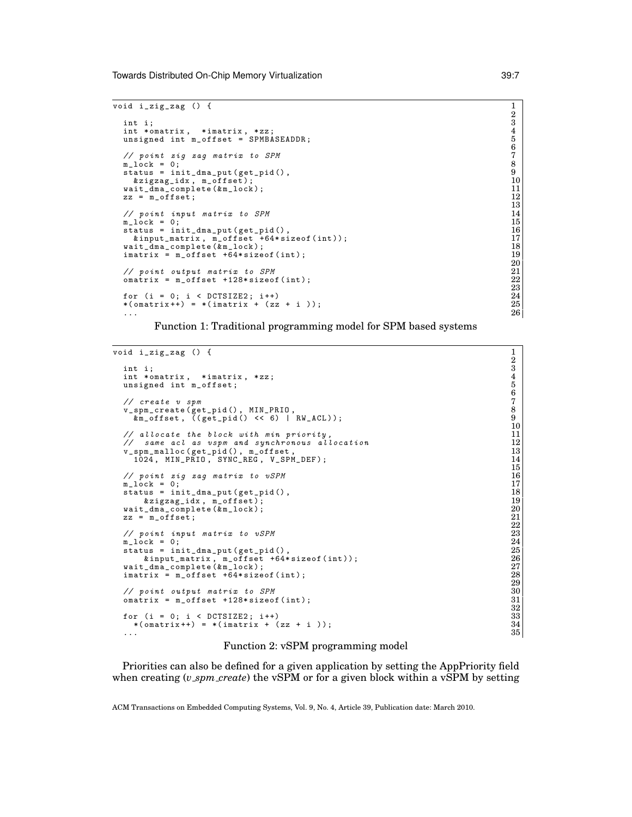Towards Distributed On-Chip Memory Virtualization 39:7

```
void i_zig_zag () { 1
 int i; 3
 int *omatrix, *imatrix, *zz; 4
 unsigned int m_offset = SPMBASEADDR; 5
 // point zig zag matrix to SPM<br>
m_lock = 0;<br>
status = init_dma_put(get_pid(),<br>
9
 m\_lock = 0;
 status = init_dma_put ( get_pid () , 9
  & zigzag_idx , m_offset ); 10
 wait_dma_complete (&m_lock); 11
zz = m_offset; \overline{12}// point input matrix to SPM<br>m lock = 0: 15
 m_1lock = 0; 15status = init_dma_put (get_pid (), 16
  & input_matrix , m_offset +64* sizeof ( int )); 17
 wait_dma_complete (\&m_lock); 18
 imatrix = m_offset +64* size of (int); 19
 \frac{1}{2} point output matrix to SPM \frac{21}{22}omatrix = m_offset +128*sizeof(int);for (i = 0; i < DCTSIZE2; i++) 24
 *(omatrix++) = *(imatrix++ (zz + i)); 25
 ... 26
```
Function 1: Traditional programming model for SPM based systems

```
void i_zig_zag () { 1
 int i; \hspace{1.5cm}3int *omatrix, *imatrix, *zz; 4
 unsigned int m_offset; 55
 // create v spm 7
 v_spm_create (get_pid (), MIN_PRIO, 8
   & m_offset , (( get_pid () << 6) | RW_ACL ) ); 9
 // allocate the block with min priority,<br>// same acl as vspm and synchronous allocation<br>v spm malloc(get pid(), m offset,
 // same acl as vspm and synchronous allocation 12
 v_spm_malloc (get_pid (), m_offset, the set of the set of the set of the set of the set of the set of the set o
   1024 , MIN_PRIO , SYNC_REG , V_SPM_DEF ); 14
 \frac{1}{2} point zig zag matrix to vSPM
 m_1lock = 0;<br>
status = init_dma_put(get_pid(),<br>
18
 status = init_dma_put (get_pid (), <br>
&zigzag_idx, m_offset); <br>
19
    \texttt{\&zigzag_idx , m_ooffset)};<br>
\texttt{t_dma_complete(&\texttt{\&m}_lock);} 20
 wait_dma_complete (\bar{k}m_lock );<br>zz = m_offset; 21
 zz = m_offset;// point input matrix to vSPM<br>m_lock = 0;<br>24
 m_1lock = 0; 24status = init_dma_put (get_pid (), 25& input_matrix , m_offset +64* sizeof ( int )); 26
 wait_dma_complete (km_1 \text{lock});<br>
imatrix = m_offset +64*sizeof(int);<br>
28
 inatrix = m^2 of fset +64* size of (int);// point output matrix to SPM<br>
omatrix = m_offset +128*sizeof(int);<br>
31
 \overline{\text{matrix}} = \text{m}_\text{offset} + 128 \cdot \text{sizeof}(\text{int});for (i = 0; i < 20T51ZE; i++)<br>
*(0matrix + 1) = *(imatrix + (zz + i)):<br>
34
 *(omatrix + +) = *(imatrix + (zz + i)); 34<br>...
 \ldots 35
```
## Function 2: vSPM programming model

Priorities can also be defined for a given application by setting the AppPriority field when creating (*v\_spm\_create*) the vSPM or for a given block within a vSPM by setting

ACM Transactions on Embedded Computing Systems, Vol. 9, No. 4, Article 39, Publication date: March 2010.

 $\frac{1}{2}$ 

 $rac{6}{7}$ 

 $\frac{13}{14}$ 

 $\frac{20}{21}$ 

 $\frac{23}{24}$ 

 $\begin{array}{c} 2 \\ 3 \\ 4 \end{array}$ 

 $\frac{6}{7}$ 

 $\frac{10}{11}$ 

 $\begin{array}{c} 15 \\ 16 \\ 17 \end{array}$ 

 $\frac{22}{23}$ 

 $\frac{29}{30}$ 

 $\frac{32}{33}$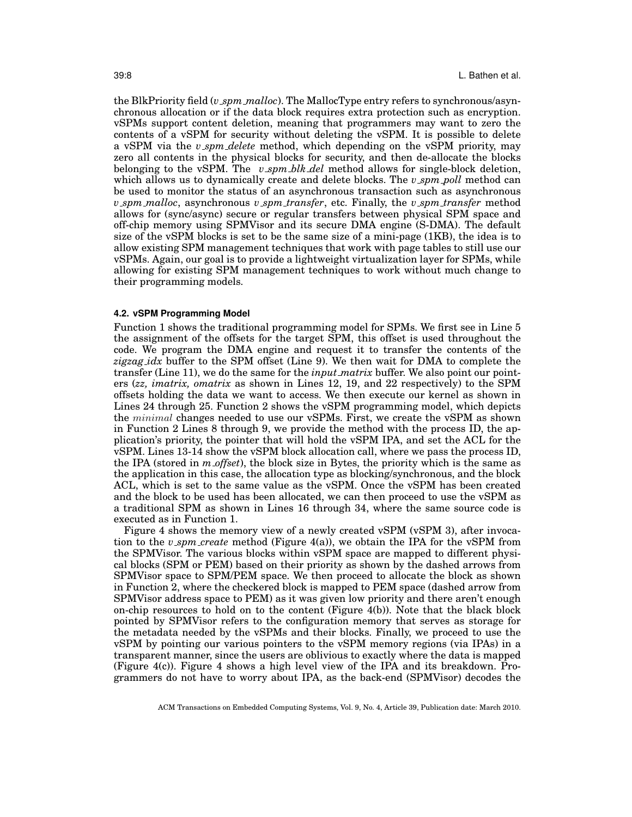the BlkPriority field (*v spm malloc*). The MallocType entry refers to synchronous/asynchronous allocation or if the data block requires extra protection such as encryption. vSPMs support content deletion, meaning that programmers may want to zero the contents of a vSPM for security without deleting the vSPM. It is possible to delete a vSPM via the *v spm delete* method, which depending on the vSPM priority, may zero all contents in the physical blocks for security, and then de-allocate the blocks belonging to the vSPM. The *v spm blk del* method allows for single-block deletion, which allows us to dynamically create and delete blocks. The *v spm poll* method can be used to monitor the status of an asynchronous transaction such as asynchronous *v spm malloc*, asynchronous *v spm transfer*, etc. Finally, the *v spm transfer* method allows for (sync/async) secure or regular transfers between physical SPM space and off-chip memory using SPMVisor and its secure DMA engine (S-DMA). The default size of the vSPM blocks is set to be the same size of a mini-page (1KB), the idea is to allow existing SPM management techniques that work with page tables to still use our vSPMs. Again, our goal is to provide a lightweight virtualization layer for SPMs, while allowing for existing SPM management techniques to work without much change to their programming models.

## **4.2. vSPM Programming Model**

Function 1 shows the traditional programming model for SPMs. We first see in Line 5 the assignment of the offsets for the target SPM, this offset is used throughout the code. We program the DMA engine and request it to transfer the contents of the *zigzag idx* buffer to the SPM offset (Line 9). We then wait for DMA to complete the transfer (Line 11), we do the same for the *input matrix* buffer. We also point our pointers (*zz, imatrix, omatrix* as shown in Lines 12, 19, and 22 respectively) to the SPM offsets holding the data we want to access. We then execute our kernel as shown in Lines 24 through 25. Function 2 shows the vSPM programming model, which depicts the *minimal* changes needed to use our vSPMs. First, we create the vSPM as shown in Function 2 Lines 8 through 9, we provide the method with the process ID, the application's priority, the pointer that will hold the vSPM IPA, and set the ACL for the vSPM. Lines 13-14 show the vSPM block allocation call, where we pass the process ID, the IPA (stored in *m offset*), the block size in Bytes, the priority which is the same as the application in this case, the allocation type as blocking/synchronous, and the block ACL, which is set to the same value as the vSPM. Once the vSPM has been created and the block to be used has been allocated, we can then proceed to use the vSPM as a traditional SPM as shown in Lines 16 through 34, where the same source code is executed as in Function 1.

Figure 4 shows the memory view of a newly created vSPM (vSPM 3), after invocation to the *v spm create* method (Figure 4(a)), we obtain the IPA for the vSPM from the SPMVisor. The various blocks within vSPM space are mapped to different physical blocks (SPM or PEM) based on their priority as shown by the dashed arrows from SPMVisor space to SPM/PEM space. We then proceed to allocate the block as shown in Function 2, where the checkered block is mapped to PEM space (dashed arrow from SPMVisor address space to PEM) as it was given low priority and there aren't enough on-chip resources to hold on to the content (Figure 4(b)). Note that the black block pointed by SPMVisor refers to the configuration memory that serves as storage for the metadata needed by the vSPMs and their blocks. Finally, we proceed to use the vSPM by pointing our various pointers to the vSPM memory regions (via IPAs) in a transparent manner, since the users are oblivious to exactly where the data is mapped (Figure 4(c)). Figure 4 shows a high level view of the IPA and its breakdown. Programmers do not have to worry about IPA, as the back-end (SPMVisor) decodes the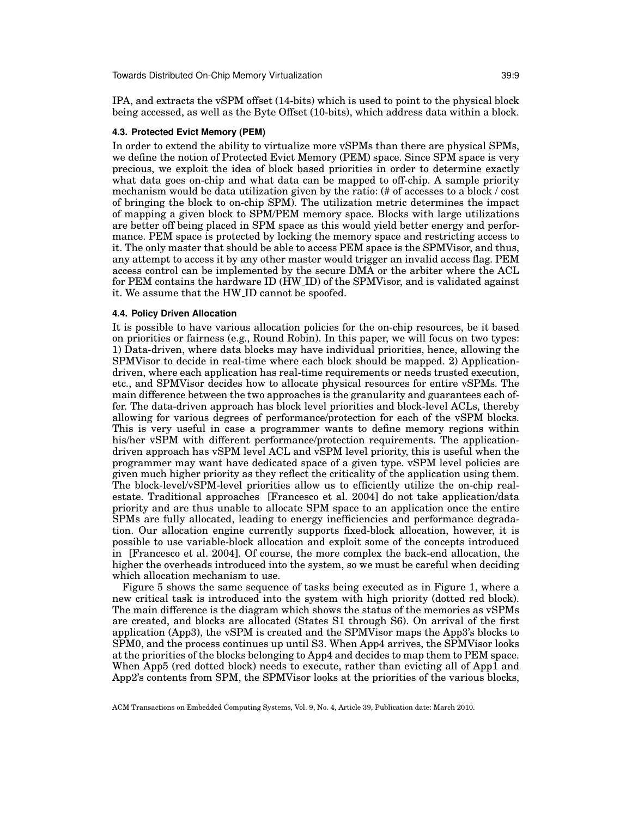IPA, and extracts the vSPM offset (14-bits) which is used to point to the physical block being accessed, as well as the Byte Offset (10-bits), which address data within a block.

#### **4.3. Protected Evict Memory (PEM)**

In order to extend the ability to virtualize more vSPMs than there are physical SPMs, we define the notion of Protected Evict Memory (PEM) space. Since SPM space is very precious, we exploit the idea of block based priorities in order to determine exactly what data goes on-chip and what data can be mapped to off-chip. A sample priority mechanism would be data utilization given by the ratio: (# of accesses to a block / cost of bringing the block to on-chip SPM). The utilization metric determines the impact of mapping a given block to SPM/PEM memory space. Blocks with large utilizations are better off being placed in SPM space as this would yield better energy and performance. PEM space is protected by locking the memory space and restricting access to it. The only master that should be able to access PEM space is the SPMVisor, and thus, any attempt to access it by any other master would trigger an invalid access flag. PEM access control can be implemented by the secure DMA or the arbiter where the ACL for PEM contains the hardware ID (HW ID) of the SPMVisor, and is validated against it. We assume that the HW ID cannot be spoofed.

## **4.4. Policy Driven Allocation**

It is possible to have various allocation policies for the on-chip resources, be it based on priorities or fairness (e.g., Round Robin). In this paper, we will focus on two types: 1) Data-driven, where data blocks may have individual priorities, hence, allowing the SPMVisor to decide in real-time where each block should be mapped. 2) Applicationdriven, where each application has real-time requirements or needs trusted execution, etc., and SPMVisor decides how to allocate physical resources for entire vSPMs. The main difference between the two approaches is the granularity and guarantees each offer. The data-driven approach has block level priorities and block-level ACLs, thereby allowing for various degrees of performance/protection for each of the vSPM blocks. This is very useful in case a programmer wants to define memory regions within his/her vSPM with different performance/protection requirements. The applicationdriven approach has vSPM level ACL and vSPM level priority, this is useful when the programmer may want have dedicated space of a given type. vSPM level policies are given much higher priority as they reflect the criticality of the application using them. The block-level/vSPM-level priorities allow us to efficiently utilize the on-chip realestate. Traditional approaches [Francesco et al. 2004] do not take application/data priority and are thus unable to allocate SPM space to an application once the entire SPMs are fully allocated, leading to energy inefficiencies and performance degradation. Our allocation engine currently supports fixed-block allocation, however, it is possible to use variable-block allocation and exploit some of the concepts introduced in [Francesco et al. 2004]. Of course, the more complex the back-end allocation, the higher the overheads introduced into the system, so we must be careful when deciding which allocation mechanism to use.

Figure 5 shows the same sequence of tasks being executed as in Figure 1, where a new critical task is introduced into the system with high priority (dotted red block). The main difference is the diagram which shows the status of the memories as vSPMs are created, and blocks are allocated (States S1 through S6). On arrival of the first application (App3), the vSPM is created and the SPMVisor maps the App3's blocks to SPM0, and the process continues up until S3. When App4 arrives, the SPMVisor looks at the priorities of the blocks belonging to App4 and decides to map them to PEM space. When App5 (red dotted block) needs to execute, rather than evicting all of App1 and App2's contents from SPM, the SPMVisor looks at the priorities of the various blocks,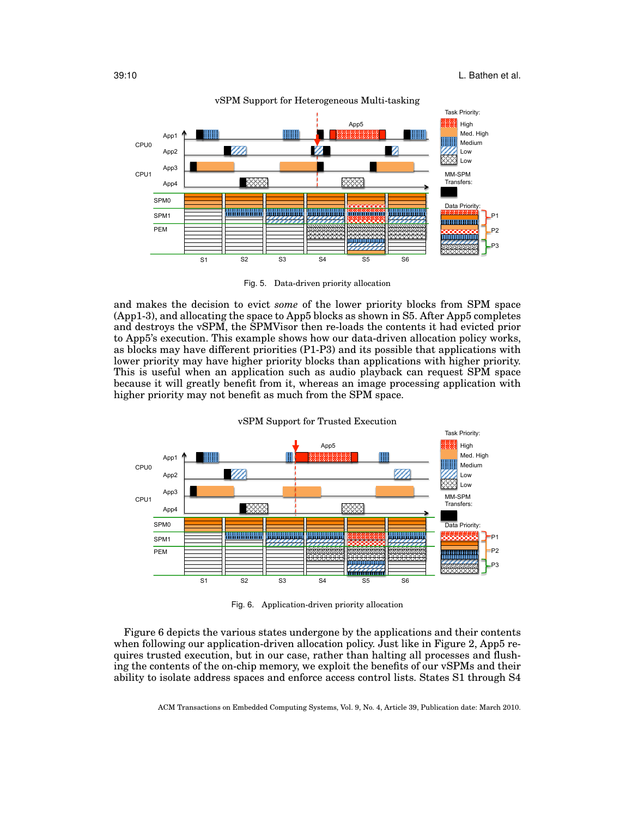

Fig. 5. Data-driven priority allocation

and makes the decision to evict *some* of the lower priority blocks from SPM space (App1-3), and allocating the space to App5 blocks as shown in S5. After App5 completes and destroys the vSPM, the SPMVisor then re-loads the contents it had evicted prior to App5's execution. This example shows how our data-driven allocation policy works, as blocks may have different priorities (P1-P3) and its possible that applications with lower priority may have higher priority blocks than applications with higher priority. This is useful when an application such as audio playback can request SPM space because it will greatly benefit from it, whereas an image processing application with higher priority may not benefit as much from the SPM space.



Fig. 6. Application-driven priority allocation

Figure 6 depicts the various states undergone by the applications and their contents when following our application-driven allocation policy. Just like in Figure 2, App5 requires trusted execution, but in our case, rather than halting all processes and flushing the contents of the on-chip memory, we exploit the benefits of our vSPMs and their ability to isolate address spaces and enforce access control lists. States S1 through S4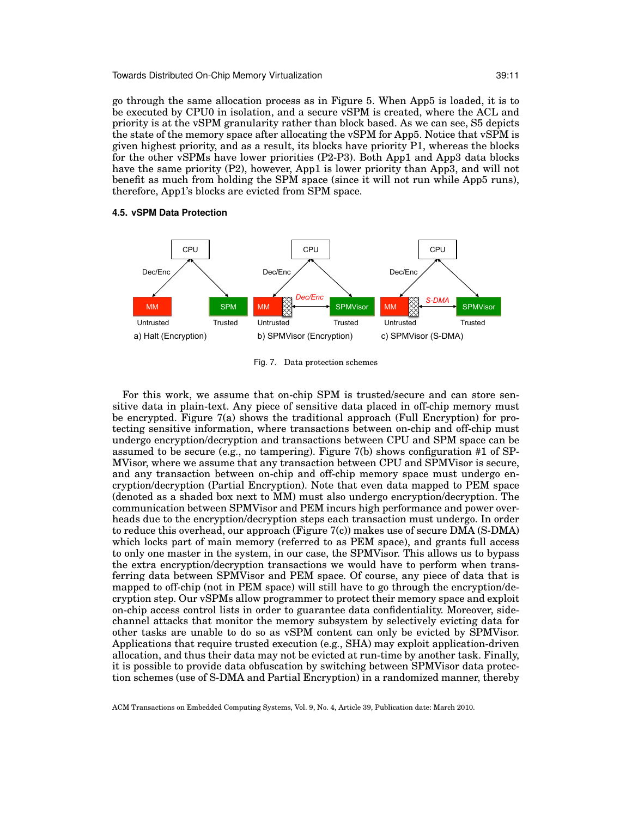#### Towards Distributed On-Chip Memory Virtualization 39:11

go through the same allocation process as in Figure 5. When App5 is loaded, it is to be executed by CPU0 in isolation, and a secure vSPM is created, where the ACL and priority is at the vSPM granularity rather than block based. As we can see, S5 depicts the state of the memory space after allocating the vSPM for App5. Notice that vSPM is given highest priority, and as a result, its blocks have priority P1, whereas the blocks for the other vSPMs have lower priorities (P2-P3). Both App1 and App3 data blocks have the same priority (P2), however, App1 is lower priority than App3, and will not benefit as much from holding the SPM space (since it will not run while App5 runs), therefore, App1's blocks are evicted from SPM space.

## **4.5. vSPM Data Protection**



Fig. 7. Data protection schemes

For this work, we assume that on-chip SPM is trusted/secure and can store sensitive data in plain-text. Any piece of sensitive data placed in off-chip memory must be encrypted. Figure 7(a) shows the traditional approach (Full Encryption) for protecting sensitive information, where transactions between on-chip and off-chip must undergo encryption/decryption and transactions between CPU and SPM space can be assumed to be secure (e.g., no tampering). Figure 7(b) shows configuration #1 of SP-MVisor, where we assume that any transaction between CPU and SPMVisor is secure, and any transaction between on-chip and off-chip memory space must undergo encryption/decryption (Partial Encryption). Note that even data mapped to PEM space (denoted as a shaded box next to MM) must also undergo encryption/decryption. The communication between SPMVisor and PEM incurs high performance and power overheads due to the encryption/decryption steps each transaction must undergo. In order to reduce this overhead, our approach (Figure 7(c)) makes use of secure DMA (S-DMA) which locks part of main memory (referred to as PEM space), and grants full access to only one master in the system, in our case, the SPMVisor. This allows us to bypass the extra encryption/decryption transactions we would have to perform when transferring data between SPMVisor and PEM space. Of course, any piece of data that is mapped to off-chip (not in PEM space) will still have to go through the encryption/decryption step. Our vSPMs allow programmer to protect their memory space and exploit on-chip access control lists in order to guarantee data confidentiality. Moreover, sidechannel attacks that monitor the memory subsystem by selectively evicting data for other tasks are unable to do so as vSPM content can only be evicted by SPMVisor. Applications that require trusted execution (e.g., SHA) may exploit application-driven allocation, and thus their data may not be evicted at run-time by another task. Finally, it is possible to provide data obfuscation by switching between SPMVisor data protection schemes (use of S-DMA and Partial Encryption) in a randomized manner, thereby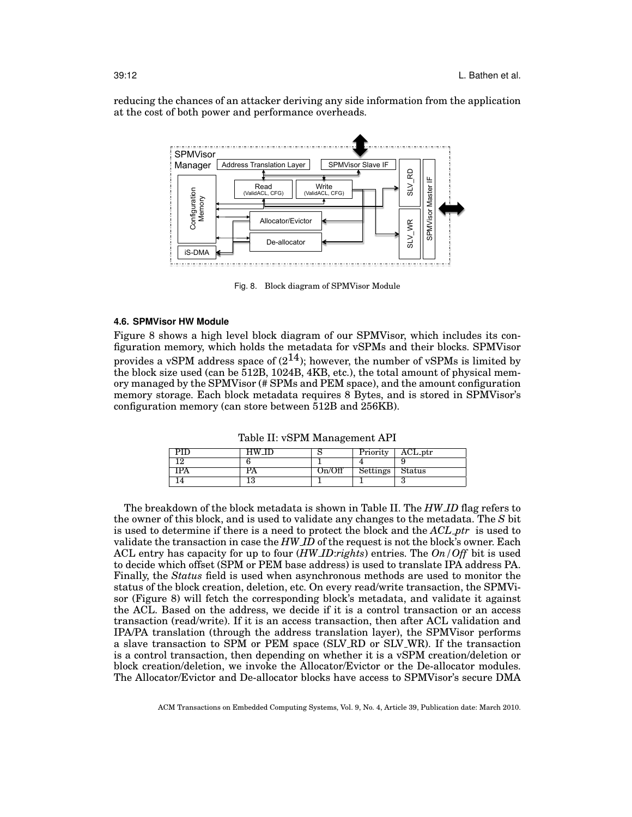reducing the chances of an attacker deriving any side information from the application at the cost of both power and performance overheads.



Fig. 8. Block diagram of SPMVisor Module

## **4.6. SPMVisor HW Module**

Figure 8 shows a high level block diagram of our SPMVisor, which includes its configuration memory, which holds the metadata for vSPMs and their blocks. SPMVisor provides a vSPM address space of  $(2^{14})$ ; however, the number of vSPMs is limited by the block size used (can be 512B, 1024B, 4KB, etc.), the total amount of physical memory managed by the SPMVisor (# SPMs and PEM space), and the amount configuration memory storage. Each block metadata requires 8 Bytes, and is stored in SPMVisor's configuration memory (can store between 512B and 256KB).

Table II: vSPM Management API

| PIE | нw |         | Priority | ACL_ptr |
|-----|----|---------|----------|---------|
|     |    |         |          |         |
| IPA |    | .)n/Off | Settings | Status  |
|     | ιυ |         |          |         |

The breakdown of the block metadata is shown in Table II. The *HW ID* flag refers to the owner of this block, and is used to validate any changes to the metadata. The *S* bit is used to determine if there is a need to protect the block and the *ACL ptr* is used to validate the transaction in case the *HW ID* of the request is not the block's owner. Each ACL entry has capacity for up to four (*HW ID*:*rights*) entries. The *On/Off* bit is used to decide which offset (SPM or PEM base address) is used to translate IPA address PA. Finally, the *Status* field is used when asynchronous methods are used to monitor the status of the block creation, deletion, etc. On every read/write transaction, the SPMVisor (Figure 8) will fetch the corresponding block's metadata, and validate it against the ACL. Based on the address, we decide if it is a control transaction or an access transaction (read/write). If it is an access transaction, then after ACL validation and IPA/PA translation (through the address translation layer), the SPMVisor performs a slave transaction to SPM or PEM space (SLV RD or SLV WR). If the transaction is a control transaction, then depending on whether it is a vSPM creation/deletion or block creation/deletion, we invoke the Allocator/Evictor or the De-allocator modules. The Allocator/Evictor and De-allocator blocks have access to SPMVisor's secure DMA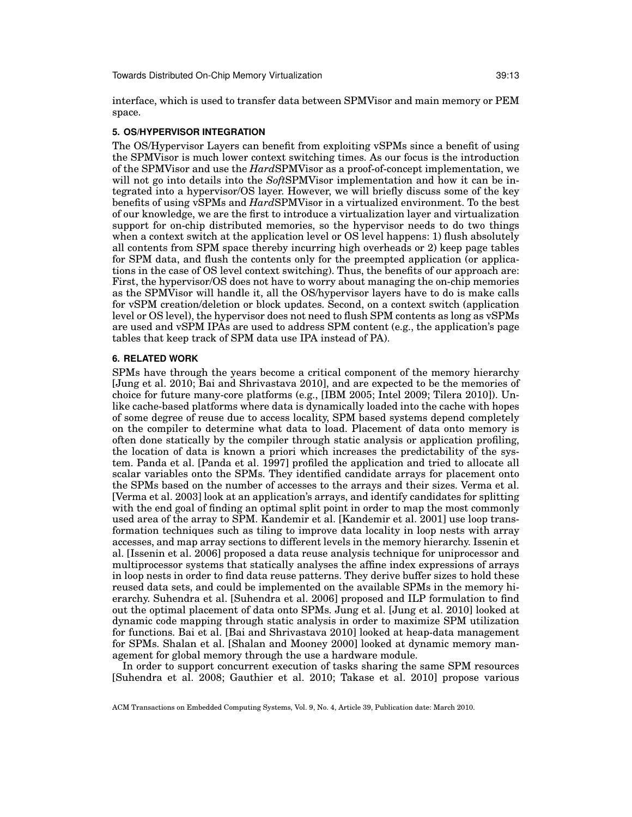interface, which is used to transfer data between SPMVisor and main memory or PEM space.

## **5. OS/HYPERVISOR INTEGRATION**

The OS/Hypervisor Layers can benefit from exploiting vSPMs since a benefit of using the SPMVisor is much lower context switching times. As our focus is the introduction of the SPMVisor and use the *Hard*SPMVisor as a proof-of-concept implementation, we will not go into details into the *Soft*SPMVisor implementation and how it can be integrated into a hypervisor/OS layer. However, we will briefly discuss some of the key benefits of using vSPMs and *Hard*SPMVisor in a virtualized environment. To the best of our knowledge, we are the first to introduce a virtualization layer and virtualization support for on-chip distributed memories, so the hypervisor needs to do two things when a context switch at the application level or OS level happens: 1) flush absolutely all contents from SPM space thereby incurring high overheads or 2) keep page tables for SPM data, and flush the contents only for the preempted application (or applications in the case of OS level context switching). Thus, the benefits of our approach are: First, the hypervisor/OS does not have to worry about managing the on-chip memories as the SPMVisor will handle it, all the OS/hypervisor layers have to do is make calls for vSPM creation/deletion or block updates. Second, on a context switch (application level or OS level), the hypervisor does not need to flush SPM contents as long as vSPMs are used and vSPM IPAs are used to address SPM content (e.g., the application's page tables that keep track of SPM data use IPA instead of PA).

## **6. RELATED WORK**

SPMs have through the years become a critical component of the memory hierarchy [Jung et al. 2010; Bai and Shrivastava 2010], and are expected to be the memories of choice for future many-core platforms (e.g., [IBM 2005; Intel 2009; Tilera 2010]). Unlike cache-based platforms where data is dynamically loaded into the cache with hopes of some degree of reuse due to access locality, SPM based systems depend completely on the compiler to determine what data to load. Placement of data onto memory is often done statically by the compiler through static analysis or application profiling, the location of data is known a priori which increases the predictability of the system. Panda et al. [Panda et al. 1997] profiled the application and tried to allocate all scalar variables onto the SPMs. They identified candidate arrays for placement onto the SPMs based on the number of accesses to the arrays and their sizes. Verma et al. [Verma et al. 2003] look at an application's arrays, and identify candidates for splitting with the end goal of finding an optimal split point in order to map the most commonly used area of the array to SPM. Kandemir et al. [Kandemir et al. 2001] use loop transformation techniques such as tiling to improve data locality in loop nests with array accesses, and map array sections to different levels in the memory hierarchy. Issenin et al. [Issenin et al. 2006] proposed a data reuse analysis technique for uniprocessor and multiprocessor systems that statically analyses the affine index expressions of arrays in loop nests in order to find data reuse patterns. They derive buffer sizes to hold these reused data sets, and could be implemented on the available SPMs in the memory hierarchy. Suhendra et al. [Suhendra et al. 2006] proposed and ILP formulation to find out the optimal placement of data onto SPMs. Jung et al. [Jung et al. 2010] looked at dynamic code mapping through static analysis in order to maximize SPM utilization for functions. Bai et al. [Bai and Shrivastava 2010] looked at heap-data management for SPMs. Shalan et al. [Shalan and Mooney 2000] looked at dynamic memory management for global memory through the use a hardware module.

In order to support concurrent execution of tasks sharing the same SPM resources [Suhendra et al. 2008; Gauthier et al. 2010; Takase et al. 2010] propose various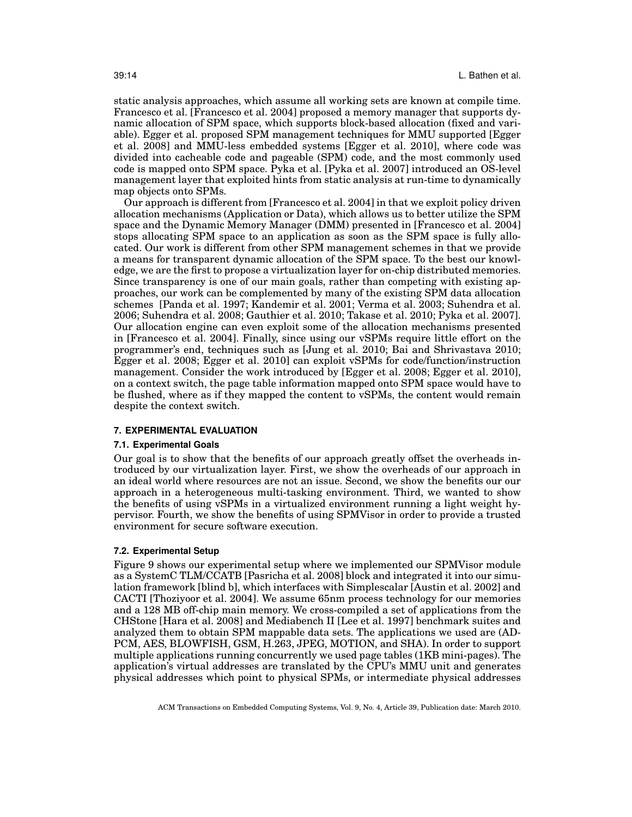static analysis approaches, which assume all working sets are known at compile time. Francesco et al. [Francesco et al. 2004] proposed a memory manager that supports dynamic allocation of SPM space, which supports block-based allocation (fixed and variable). Egger et al. proposed SPM management techniques for MMU supported [Egger et al. 2008] and MMU-less embedded systems [Egger et al. 2010], where code was divided into cacheable code and pageable (SPM) code, and the most commonly used code is mapped onto SPM space. Pyka et al. [Pyka et al. 2007] introduced an OS-level management layer that exploited hints from static analysis at run-time to dynamically map objects onto SPMs.

Our approach is different from [Francesco et al. 2004] in that we exploit policy driven allocation mechanisms (Application or Data), which allows us to better utilize the SPM space and the Dynamic Memory Manager (DMM) presented in [Francesco et al. 2004] stops allocating SPM space to an application as soon as the SPM space is fully allocated. Our work is different from other SPM management schemes in that we provide a means for transparent dynamic allocation of the SPM space. To the best our knowledge, we are the first to propose a virtualization layer for on-chip distributed memories. Since transparency is one of our main goals, rather than competing with existing approaches, our work can be complemented by many of the existing SPM data allocation schemes [Panda et al. 1997; Kandemir et al. 2001; Verma et al. 2003; Suhendra et al. 2006; Suhendra et al. 2008; Gauthier et al. 2010; Takase et al. 2010; Pyka et al. 2007]. Our allocation engine can even exploit some of the allocation mechanisms presented in [Francesco et al. 2004]. Finally, since using our vSPMs require little effort on the programmer's end, techniques such as [Jung et al. 2010; Bai and Shrivastava 2010; Egger et al. 2008; Egger et al. 2010] can exploit vSPMs for code/function/instruction management. Consider the work introduced by [Egger et al. 2008; Egger et al. 2010], on a context switch, the page table information mapped onto SPM space would have to be flushed, where as if they mapped the content to vSPMs, the content would remain despite the context switch.

## **7. EXPERIMENTAL EVALUATION**

#### **7.1. Experimental Goals**

Our goal is to show that the benefits of our approach greatly offset the overheads introduced by our virtualization layer. First, we show the overheads of our approach in an ideal world where resources are not an issue. Second, we show the benefits our our approach in a heterogeneous multi-tasking environment. Third, we wanted to show the benefits of using vSPMs in a virtualized environment running a light weight hypervisor. Fourth, we show the benefits of using SPMVisor in order to provide a trusted environment for secure software execution.

## **7.2. Experimental Setup**

Figure 9 shows our experimental setup where we implemented our SPMVisor module as a SystemC TLM/CCATB [Pasricha et al. 2008] block and integrated it into our simulation framework [blind b], which interfaces with Simplescalar [Austin et al. 2002] and CACTI [Thoziyoor et al. 2004]. We assume 65nm process technology for our memories and a 128 MB off-chip main memory. We cross-compiled a set of applications from the CHStone [Hara et al. 2008] and Mediabench II [Lee et al. 1997] benchmark suites and analyzed them to obtain SPM mappable data sets. The applications we used are (AD-PCM, AES, BLOWFISH, GSM, H.263, JPEG, MOTION, and SHA). In order to support multiple applications running concurrently we used page tables (1KB mini-pages). The application's virtual addresses are translated by the CPU's MMU unit and generates physical addresses which point to physical SPMs, or intermediate physical addresses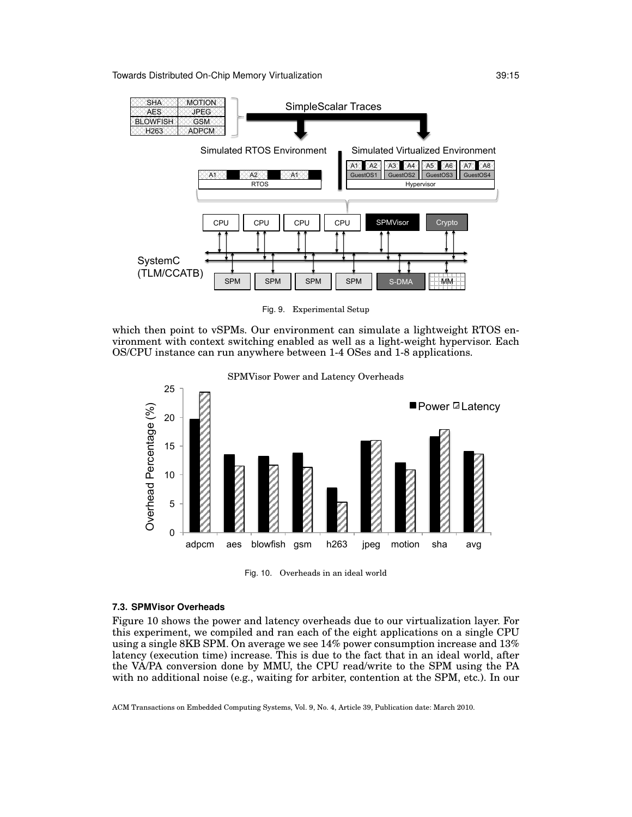Towards Distributed On-Chip Memory Virtualization 39:15



Fig. 9. Experimental Setup

which then point to vSPMs. Our environment can simulate a lightweight RTOS environment with context switching enabled as well as a light-weight hypervisor. Each OS/CPU instance can run anywhere between 1-4 OSes and 1-8 applications.



Fig. 10. Overheads in an ideal world

## **7.3. SPMVisor Overheads**

Figure 10 shows the power and latency overheads due to our virtualization layer. For this experiment, we compiled and ran each of the eight applications on a single CPU using a single 8KB SPM. On average we see 14% power consumption increase and 13% latency (execution time) increase. This is due to the fact that in an ideal world, after the VA/PA conversion done by MMU, the CPU read/write to the SPM using the PA with no additional noise (e.g., waiting for arbiter, contention at the SPM, etc.). In our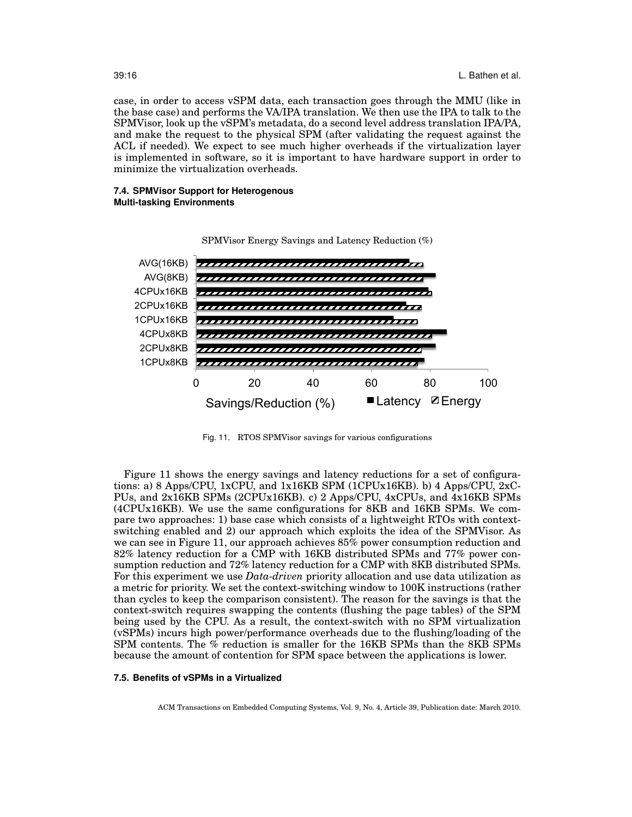case, in order to access vSPM data, each transaction goes through the MMU (like in the base case) and performs the VA/IPA translation. We then use the IPA to talk to the SPMVisor, look up the vSPM's metadata, do a second level address translation IPA/PA, and make the request to the physical SPM (after validating the request against the ACL if needed). We expect to see much higher overheads if the virtualization layer is implemented in software, so it is important to have hardware support in order to minimize the virtualization overheads.

## **7.4. SPMVisor Support for Heterogenous Multi-tasking Environments**



SPMVisor Energy Savings and Latency Reduction (%)

Fig. 11. RTOS SPMVisor savings for various configurations

Figure 11 shows the energy savings and latency reductions for a set of configurations: a) 8 Apps/CPU, 1xCPU, and 1x16KB SPM (1CPUx16KB). b) 4 Apps/CPU, 2xC-PUs, and 2x16KB SPMs (2CPUx16KB). c) 2 Apps/CPU, 4xCPUs, and 4x16KB SPMs (4CPUx16KB). We use the same configurations for 8KB and 16KB SPMs. We compare two approaches: 1) base case which consists of a lightweight RTOs with contextswitching enabled and 2) our approach which exploits the idea of the SPMVisor. As we can see in Figure 11, our approach achieves 85% power consumption reduction and 82% latency reduction for a CMP with 16KB distributed SPMs and 77% power consumption reduction and 72% latency reduction for a CMP with 8KB distributed SPMs. For this experiment we use *Data-driven* priority allocation and use data utilization as a metric for priority. We set the context-switching window to 100K instructions (rather than cycles to keep the comparison consistent). The reason for the savings is that the context-switch requires swapping the contents (flushing the page tables) of the SPM being used by the CPU. As a result, the context-switch with no SPM virtualization (vSPMs) incurs high power/performance overheads due to the flushing/loading of the SPM contents. The % reduction is smaller for the 16KB SPMs than the 8KB SPMs because the amount of contention for SPM space between the applications is lower.

## **7.5. Benefits of vSPMs in a Virtualized**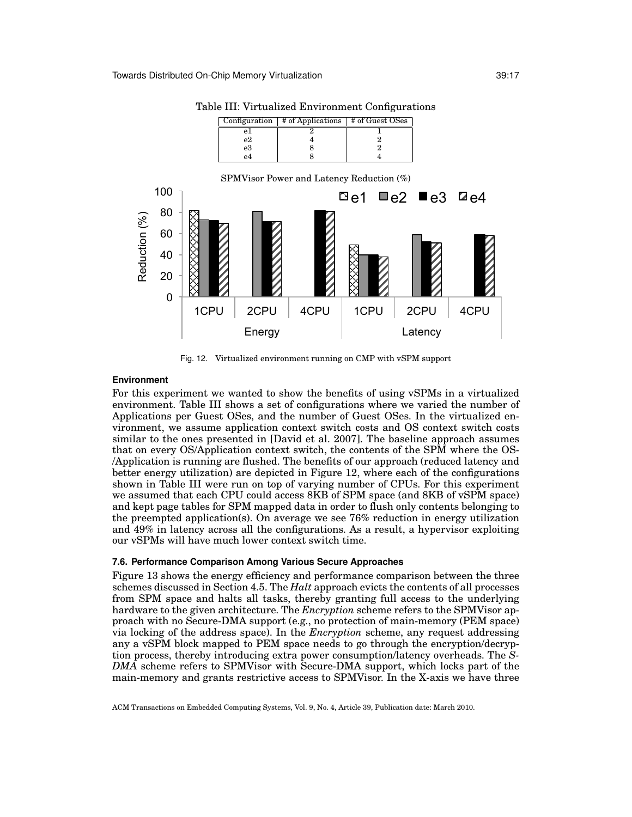

Table III: Virtualized Environment Configurations

Fig. 12. Virtualized environment running on CMP with vSPM support

# **Environment**

For this experiment we wanted to show the benefits of using vSPMs in a virtualized environment. Table III shows a set of configurations where we varied the number of Applications per Guest OSes, and the number of Guest OSes. In the virtualized environment, we assume application context switch costs and OS context switch costs similar to the ones presented in [David et al. 2007]. The baseline approach assumes that on every OS/Application context switch, the contents of the SPM where the OS- /Application is running are flushed. The benefits of our approach (reduced latency and better energy utilization) are depicted in Figure 12, where each of the configurations shown in Table III were run on top of varying number of CPUs. For this experiment we assumed that each CPU could access 8KB of SPM space (and 8KB of vSPM space) and kept page tables for SPM mapped data in order to flush only contents belonging to the preempted application(s). On average we see 76% reduction in energy utilization and 49% in latency across all the configurations. As a result, a hypervisor exploiting our vSPMs will have much lower context switch time.

## **7.6. Performance Comparison Among Various Secure Approaches**

Figure 13 shows the energy efficiency and performance comparison between the three schemes discussed in Section 4.5. The *Halt* approach evicts the contents of all processes from SPM space and halts all tasks, thereby granting full access to the underlying hardware to the given architecture. The *Encryption* scheme refers to the SPMVisor approach with no Secure-DMA support (e.g., no protection of main-memory (PEM space) via locking of the address space). In the *Encryption* scheme, any request addressing any a vSPM block mapped to PEM space needs to go through the encryption/decryption process, thereby introducing extra power consumption/latency overheads. The *S-DMA* scheme refers to SPMVisor with Secure-DMA support, which locks part of the main-memory and grants restrictive access to SPMVisor. In the X-axis we have three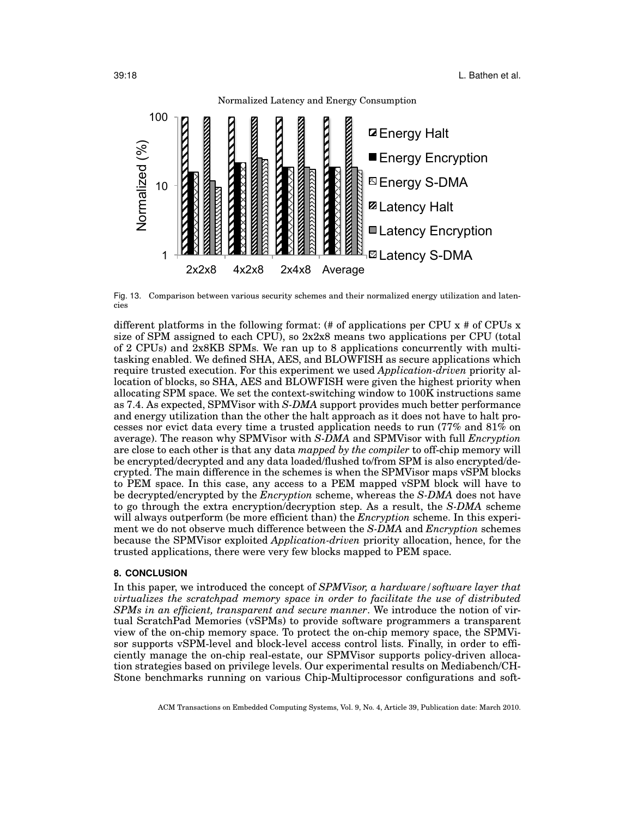39:18 L. Bathen et al.



Fig. 13. Comparison between various security schemes and their normalized energy utilization and latencies

different platforms in the following format: (# of applications per CPU  $x \neq 0$  CPUs  $x$ size of SPM assigned to each CPU), so  $2x2x8$  means two applications per CPU (total of 2 CPUs) and 2x8KB SPMs. We ran up to 8 applications concurrently with multitasking enabled. We defined SHA, AES, and BLOWFISH as secure applications which require trusted execution. For this experiment we used *Application-driven* priority allocation of blocks, so SHA, AES and BLOWFISH were given the highest priority when allocating SPM space. We set the context-switching window to 100K instructions same as 7.4. As expected, SPMVisor with *S-DMA* support provides much better performance and energy utilization than the other the halt approach as it does not have to halt processes nor evict data every time a trusted application needs to run (77% and 81% on average). The reason why SPMVisor with *S-DMA* and SPMVisor with full *Encryption* are close to each other is that any data *mapped by the compiler* to off-chip memory will be encrypted/decrypted and any data loaded/flushed to/from SPM is also encrypted/decrypted. The main difference in the schemes is when the SPMVisor maps vSPM blocks to PEM space. In this case, any access to a PEM mapped vSPM block will have to be decrypted/encrypted by the *Encryption* scheme, whereas the *S-DMA* does not have to go through the extra encryption/decryption step. As a result, the *S-DMA* scheme will always outperform (be more efficient than) the *Encryption* scheme. In this experiment we do not observe much difference between the *S-DMA* and *Encryption* schemes because the SPMVisor exploited *Application-driven* priority allocation, hence, for the trusted applications, there were very few blocks mapped to PEM space.

## **8. CONCLUSION**

In this paper, we introduced the concept of *SPMVisor, a hardware/software layer that virtualizes the scratchpad memory space in order to facilitate the use of distributed SPMs in an efficient, transparent and secure manner*. We introduce the notion of virtual ScratchPad Memories (vSPMs) to provide software programmers a transparent view of the on-chip memory space. To protect the on-chip memory space, the SPMVisor supports vSPM-level and block-level access control lists. Finally, in order to efficiently manage the on-chip real-estate, our SPMVisor supports policy-driven allocation strategies based on privilege levels. Our experimental results on Mediabench/CH-Stone benchmarks running on various Chip-Multiprocessor configurations and soft-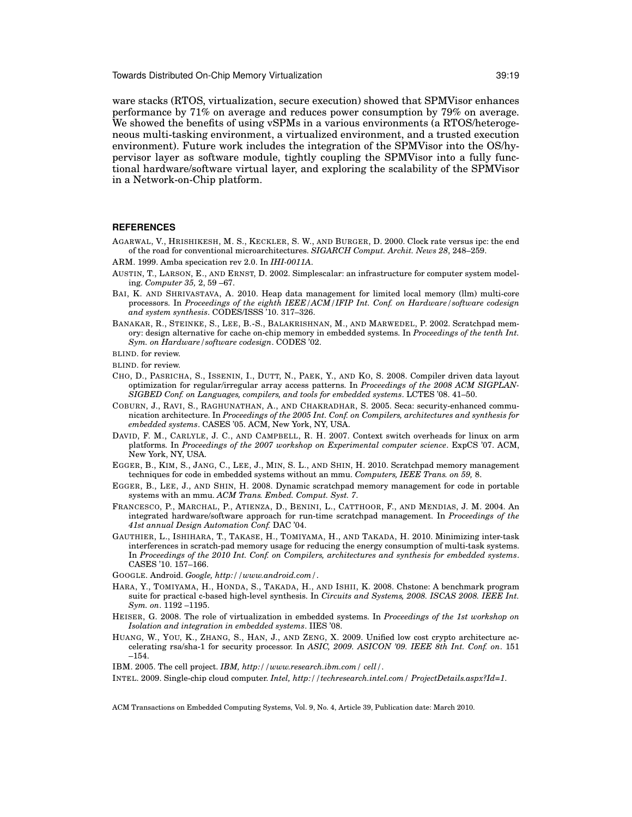Towards Distributed On-Chip Memory Virtualization 39:19

ware stacks (RTOS, virtualization, secure execution) showed that SPMVisor enhances performance by 71% on average and reduces power consumption by 79% on average. We showed the benefits of using vSPMs in a various environments (a RTOS/heterogeneous multi-tasking environment, a virtualized environment, and a trusted execution environment). Future work includes the integration of the SPMVisor into the OS/hypervisor layer as software module, tightly coupling the SPMVisor into a fully functional hardware/software virtual layer, and exploring the scalability of the SPMVisor in a Network-on-Chip platform.

# **REFERENCES**

- AGARWAL, V., HRISHIKESH, M. S., KECKLER, S. W., AND BURGER, D. 2000. Clock rate versus ipc: the end of the road for conventional microarchitectures. *SIGARCH Comput. Archit. News 28*, 248–259.
- ARM. 1999. Amba specication rev 2.0. In *IHI-0011A*.
- AUSTIN, T., LARSON, E., AND ERNST, D. 2002. Simplescalar: an infrastructure for computer system modeling. *Computer 35,* 2, 59 –67.
- BAI, K. AND SHRIVASTAVA, A. 2010. Heap data management for limited local memory (llm) multi-core processors. In *Proceedings of the eighth IEEE/ACM/IFIP Int. Conf. on Hardware/software codesign and system synthesis*. CODES/ISSS '10. 317–326.
- BANAKAR, R., STEINKE, S., LEE, B.-S., BALAKRISHNAN, M., AND MARWEDEL, P. 2002. Scratchpad memory: design alternative for cache on-chip memory in embedded systems. In *Proceedings of the tenth Int. Sym. on Hardware/software codesign*. CODES '02.
- BLIND. for review.
- BLIND. for review.
- CHO, D., PASRICHA, S., ISSENIN, I., DUTT, N., PAEK, Y., AND KO, S. 2008. Compiler driven data layout optimization for regular/irregular array access patterns. In *Proceedings of the 2008 ACM SIGPLAN-SIGBED Conf. on Languages, compilers, and tools for embedded systems*. LCTES '08. 41–50.
- COBURN, J., RAVI, S., RAGHUNATHAN, A., AND CHAKRADHAR, S. 2005. Seca: security-enhanced communication architecture. In *Proceedings of the 2005 Int. Conf. on Compilers, architectures and synthesis for embedded systems*. CASES '05. ACM, New York, NY, USA.
- DAVID, F. M., CARLYLE, J. C., AND CAMPBELL, R. H. 2007. Context switch overheads for linux on arm platforms. In *Proceedings of the 2007 workshop on Experimental computer science*. ExpCS '07. ACM, New York, NY, USA.
- EGGER, B., KIM, S., JANG, C., LEE, J., MIN, S. L., AND SHIN, H. 2010. Scratchpad memory management techniques for code in embedded systems without an mmu. *Computers, IEEE Trans. on 59,* 8.
- EGGER, B., LEE, J., AND SHIN, H. 2008. Dynamic scratchpad memory management for code in portable systems with an mmu. *ACM Trans. Embed. Comput. Syst. 7*.
- FRANCESCO, P., MARCHAL, P., ATIENZA, D., BENINI, L., CATTHOOR, F., AND MENDIAS, J. M. 2004. An integrated hardware/software approach for run-time scratchpad management. In *Proceedings of the 41st annual Design Automation Conf.* DAC '04.
- GAUTHIER, L., ISHIHARA, T., TAKASE, H., TOMIYAMA, H., AND TAKADA, H. 2010. Minimizing inter-task interferences in scratch-pad memory usage for reducing the energy consumption of multi-task systems. In *Proceedings of the 2010 Int. Conf. on Compilers, architectures and synthesis for embedded systems*. CASES '10. 157–166.
- GOOGLE. Android. *Google, http://www.android.com/*.
- HARA, Y., TOMIYAMA, H., HONDA, S., TAKADA, H., AND ISHII, K. 2008. Chstone: A benchmark program suite for practical c-based high-level synthesis. In *Circuits and Systems, 2008. ISCAS 2008. IEEE Int. Sym. on*. 1192 –1195.
- HEISER, G. 2008. The role of virtualization in embedded systems. In *Proceedings of the 1st workshop on Isolation and integration in embedded systems*. IIES '08.
- HUANG, W., YOU, K., ZHANG, S., HAN, J., AND ZENG, X. 2009. Unified low cost crypto architecture accelerating rsa/sha-1 for security processor. In *ASIC, 2009. ASICON '09. IEEE 8th Int. Conf. on*. 151 –154.
- IBM. 2005. The cell project. *IBM, http://www.research.ibm.com/ cell/*.
- INTEL. 2009. Single-chip cloud computer. *Intel, http://techresearch.intel.com/ ProjectDetails.aspx?Id=1*.